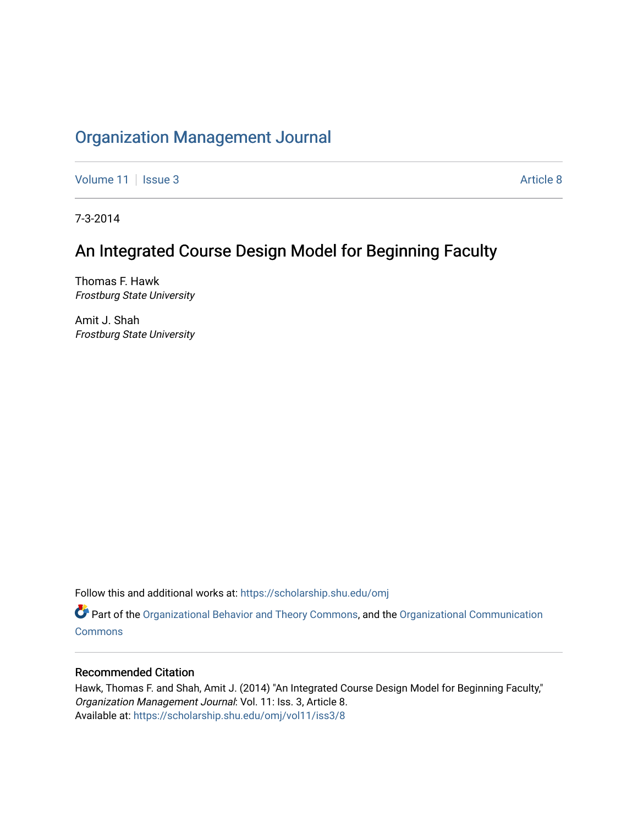# [Organization Management Journal](https://scholarship.shu.edu/omj)

[Volume 11](https://scholarship.shu.edu/omj/vol11) | [Issue 3](https://scholarship.shu.edu/omj/vol11/iss3) Article 8

7-3-2014

# An Integrated Course Design Model for Beginning Faculty

Thomas F. Hawk Frostburg State University

Amit J. Shah Frostburg State University

Follow this and additional works at: [https://scholarship.shu.edu/omj](https://scholarship.shu.edu/omj?utm_source=scholarship.shu.edu%2Fomj%2Fvol11%2Fiss3%2F8&utm_medium=PDF&utm_campaign=PDFCoverPages) 

Part of the [Organizational Behavior and Theory Commons,](http://network.bepress.com/hgg/discipline/639?utm_source=scholarship.shu.edu%2Fomj%2Fvol11%2Fiss3%2F8&utm_medium=PDF&utm_campaign=PDFCoverPages) and the [Organizational Communication](http://network.bepress.com/hgg/discipline/335?utm_source=scholarship.shu.edu%2Fomj%2Fvol11%2Fiss3%2F8&utm_medium=PDF&utm_campaign=PDFCoverPages) **[Commons](http://network.bepress.com/hgg/discipline/335?utm_source=scholarship.shu.edu%2Fomj%2Fvol11%2Fiss3%2F8&utm_medium=PDF&utm_campaign=PDFCoverPages)** 

## Recommended Citation

Hawk, Thomas F. and Shah, Amit J. (2014) "An Integrated Course Design Model for Beginning Faculty," Organization Management Journal: Vol. 11: Iss. 3, Article 8. Available at: [https://scholarship.shu.edu/omj/vol11/iss3/8](https://scholarship.shu.edu/omj/vol11/iss3/8?utm_source=scholarship.shu.edu%2Fomj%2Fvol11%2Fiss3%2F8&utm_medium=PDF&utm_campaign=PDFCoverPages)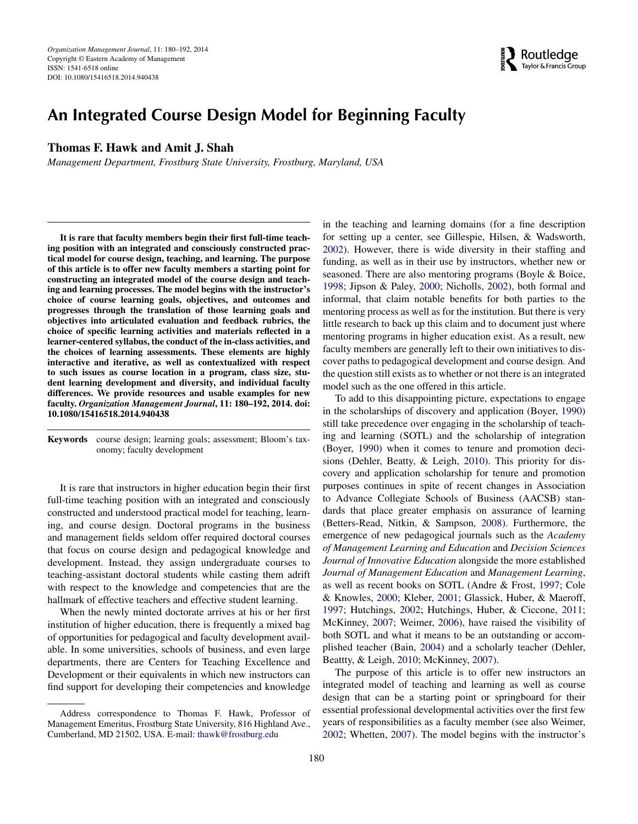

## **An Integrated Course Design Model for Beginning Faculty**

## **Thomas F. Hawk and Amit J. Shah**

*Management Department, Frostburg State University, Frostburg, Maryland, USA*

**It is rare that faculty members begin their first full-time teaching position with an integrated and consciously constructed practical model for course design, teaching, and learning. The purpose of this article is to offer new faculty members a starting point for constructing an integrated model of the course design and teaching and learning processes. The model begins with the instructor's choice of course learning goals, objectives, and outcomes and progresses through the translation of those learning goals and objectives into articulated evaluation and feedback rubrics, the choice of specific learning activities and materials reflected in a learner-centered syllabus, the conduct of the in-class activities, and the choices of learning assessments. These elements are highly interactive and iterative, as well as contextualized with respect to such issues as course location in a program, class size, student learning development and diversity, and individual faculty differences. We provide resources and usable examples for new faculty.** *Organization Management Journal***, 11: 180–192, 2014. doi: 10.1080/15416518.2014.940438**

**Keywords** course design; learning goals; assessment; Bloom's taxonomy; faculty development

It is rare that instructors in higher education begin their first full-time teaching position with an integrated and consciously constructed and understood practical model for teaching, learning, and course design. Doctoral programs in the business and management fields seldom offer required doctoral courses that focus on course design and pedagogical knowledge and development. Instead, they assign undergraduate courses to teaching-assistant doctoral students while casting them adrift with respect to the knowledge and competencies that are the hallmark of effective teachers and effective student learning.

When the newly minted doctorate arrives at his or her first institution of higher education, there is frequently a mixed bag of opportunities for pedagogical and faculty development available. In some universities, schools of business, and even large departments, there are Centers for Teaching Excellence and Development or their equivalents in which new instructors can find support for developing their competencies and knowledge

in the teaching and learning domains (for a fine description for setting up a center, see Gillespie, Hilsen, & Wadsworth, [2002\)](#page-12-0). However, there is wide diversity in their staffing and funding, as well as in their use by instructors, whether new or seasoned. There are also mentoring programs (Boyle & Boice, [1998;](#page-11-0) Jipson & Paley, [2000;](#page-12-1) Nicholls, [2002\)](#page-12-2), both formal and informal, that claim notable benefits for both parties to the mentoring process as well as for the institution. But there is very little research to back up this claim and to document just where mentoring programs in higher education exist. As a result, new faculty members are generally left to their own initiatives to discover paths to pedagogical development and course design. And the question still exists as to whether or not there is an integrated model such as the one offered in this article.

To add to this disappointing picture, expectations to engage in the scholarships of discovery and application (Boyer, [1990\)](#page-11-1) still take precedence over engaging in the scholarship of teaching and learning (SOTL) and the scholarship of integration (Boyer, [1990\)](#page-11-1) when it comes to tenure and promotion decisions (Dehler, Beatty, & Leigh, [2010\)](#page-12-3). This priority for discovery and application scholarship for tenure and promotion purposes continues in spite of recent changes in Association to Advance Collegiate Schools of Business (AACSB) standards that place greater emphasis on assurance of learning (Betters-Read, Nitkin, & Sampson, [2008\)](#page-11-2). Furthermore, the emergence of new pedagogical journals such as the *Academy of Management Learning and Education* and *Decision Sciences Journal of Innovative Education* alongside the more established *Journal of Management Education* and *Management Learning*, as well as recent books on SOTL (Andre & Frost, [1997;](#page-11-3) Cole & Knowles, [2000;](#page-11-4) Kleber, [2001;](#page-12-4) Glassick, Huber, & Maeroff, [1997;](#page-12-5) Hutchings, [2002;](#page-12-6) Hutchings, Huber, & Ciccone, [2011;](#page-12-7) McKinney, [2007;](#page-12-8) Weimer, [2006\)](#page-12-9), have raised the visibility of both SOTL and what it means to be an outstanding or accomplished teacher (Bain, [2004\)](#page-11-5) and a scholarly teacher (Dehler, Beattty, & Leigh, [2010;](#page-12-3) McKinney, [2007\)](#page-12-8).

The purpose of this article is to offer new instructors an integrated model of teaching and learning as well as course design that can be a starting point or springboard for their essential professional developmental activities over the first few years of responsibilities as a faculty member (see also Weimer, [2002;](#page-12-10) Whetten, [2007\)](#page-12-11). The model begins with the instructor's

Address correspondence to Thomas F. Hawk, Professor of Management Emeritus, Frostburg State University, 816 Highland Ave., Cumberland, MD 21502, USA. E-mail: thawk@frostburg.edu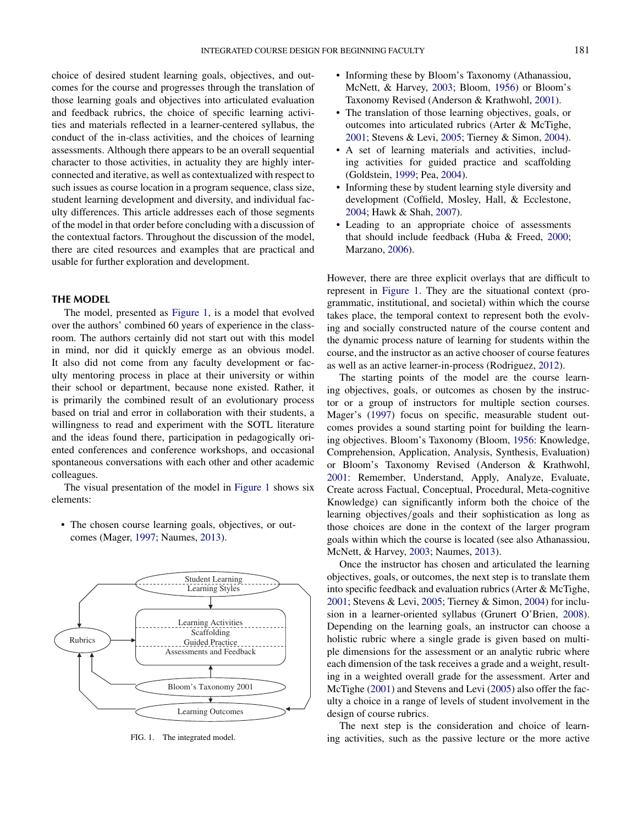choice of desired student learning goals, objectives, and outcomes for the course and progresses through the translation of those learning goals and objectives into articulated evaluation and feedback rubrics, the choice of specific learning activities and materials reflected in a learner-centered syllabus, the conduct of the in-class activities, and the choices of learning assessments. Although there appears to be an overall sequential character to those activities, in actuality they are highly interconnected and iterative, as well as contextualized with respect to such issues as course location in a program sequence, class size, student learning development and diversity, and individual faculty differences. This article addresses each of those segments of the model in that order before concluding with a discussion of the contextual factors. Throughout the discussion of the model, there are cited resources and examples that are practical and usable for further exploration and development.

#### **THE MODEL**

The model, presented as [Figure 1,](#page-2-0) is a model that evolved over the authors' combined 60 years of experience in the classroom. The authors certainly did not start out with this model in mind, nor did it quickly emerge as an obvious model. It also did not come from any faculty development or faculty mentoring process in place at their university or within their school or department, because none existed. Rather, it is primarily the combined result of an evolutionary process based on trial and error in collaboration with their students, a willingness to read and experiment with the SOTL literature and the ideas found there, participation in pedagogically oriented conferences and conference workshops, and occasional spontaneous conversations with each other and other academic colleagues.

The visual presentation of the model in [Figure 1](#page-2-0) shows six elements:

• The chosen course learning goals, objectives, or outcomes (Mager, [1997;](#page-12-12) Naumes, [2013\)](#page-12-13).

<span id="page-2-0"></span>

FIG. 1. The integrated model.

- Informing these by Bloom's Taxonomy (Athanassiou, McNett, & Harvey, [2003;](#page-11-6) Bloom, [1956\)](#page-11-7) or Bloom's Taxonomy Revised (Anderson & Krathwohl, [2001\)](#page-11-8).
- The translation of those learning objectives, goals, or outcomes into articulated rubrics (Arter & McTighe, [2001;](#page-11-9) Stevens & Levi, [2005;](#page-12-14) Tierney & Simon, [2004\)](#page-12-15).
- A set of learning materials and activities, including activities for guided practice and scaffolding (Goldstein, [1999;](#page-12-16) Pea, [2004\)](#page-12-17).
- Informing these by student learning style diversity and development (Coffield, Mosley, Hall, & Ecclestone, [2004;](#page-11-10) Hawk & Shah, [2007\)](#page-12-18).
- Leading to an appropriate choice of assessments that should include feedback (Huba & Freed, [2000;](#page-12-19) Marzano, [2006\)](#page-12-20).

However, there are three explicit overlays that are difficult to represent in [Figure 1.](#page-2-0) They are the situational context (programmatic, institutional, and societal) within which the course takes place, the temporal context to represent both the evolving and socially constructed nature of the course content and the dynamic process nature of learning for students within the course, and the instructor as an active chooser of course features as well as an active learner-in-process (Rodriguez, [2012\)](#page-12-21).

The starting points of the model are the course learning objectives, goals, or outcomes as chosen by the instructor or a group of instructors for multiple section courses. Mager's [\(1997\)](#page-12-12) focus on specific, measurable student outcomes provides a sound starting point for building the learning objectives. Bloom's Taxonomy (Bloom, [1956:](#page-11-7) Knowledge, Comprehension, Application, Analysis, Synthesis, Evaluation) or Bloom's Taxonomy Revised (Anderson & Krathwohl, [2001:](#page-11-8) Remember, Understand, Apply, Analyze, Evaluate, Create across Factual, Conceptual, Procedural, Meta-cognitive Knowledge) can significantly inform both the choice of the learning objectives*/*goals and their sophistication as long as those choices are done in the context of the larger program goals within which the course is located (see also Athanassiou, McNett, & Harvey, [2003;](#page-11-6) Naumes, [2013\)](#page-12-13).

Once the instructor has chosen and articulated the learning objectives, goals, or outcomes, the next step is to translate them into specific feedback and evaluation rubrics (Arter & McTighe, [2001;](#page-11-9) Stevens & Levi, [2005;](#page-12-14) Tierney & Simon, [2004\)](#page-12-15) for inclusion in a learner-oriented syllabus (Grunert O'Brien, [2008\)](#page-12-22). Depending on the learning goals, an instructor can choose a holistic rubric where a single grade is given based on multiple dimensions for the assessment or an analytic rubric where each dimension of the task receives a grade and a weight, resulting in a weighted overall grade for the assessment. Arter and McTighe [\(2001\)](#page-11-9) and Stevens and Levi [\(2005\)](#page-12-14) also offer the faculty a choice in a range of levels of student involvement in the design of course rubrics.

The next step is the consideration and choice of learning activities, such as the passive lecture or the more active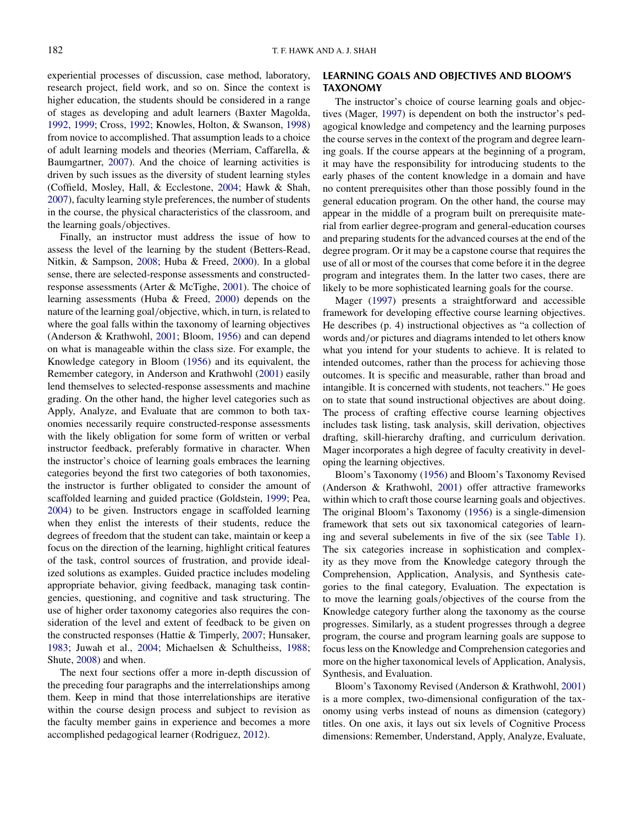experiential processes of discussion, case method, laboratory, research project, field work, and so on. Since the context is higher education, the students should be considered in a range of stages as developing and adult learners (Baxter Magolda, [1992,](#page-11-11) [1999;](#page-11-12) Cross, [1992;](#page-11-13) Knowles, Holton, & Swanson, [1998\)](#page-12-23) from novice to accomplished. That assumption leads to a choice of adult learning models and theories (Merriam, Caffarella, & Baumgartner, [2007\)](#page-12-24). And the choice of learning activities is driven by such issues as the diversity of student learning styles (Coffield, Mosley, Hall, & Ecclestone, [2004;](#page-11-10) Hawk & Shah, [2007\)](#page-12-18), faculty learning style preferences, the number of students in the course, the physical characteristics of the classroom, and the learning goals*/*objectives.

Finally, an instructor must address the issue of how to assess the level of the learning by the student (Betters-Read, Nitkin, & Sampson, [2008;](#page-11-2) Huba & Freed, [2000\)](#page-12-19). In a global sense, there are selected-response assessments and constructedresponse assessments (Arter & McTighe, [2001\)](#page-11-9). The choice of learning assessments (Huba & Freed, [2000\)](#page-12-19) depends on the nature of the learning goal*/*objective, which, in turn, is related to where the goal falls within the taxonomy of learning objectives (Anderson & Krathwohl, [2001;](#page-11-8) Bloom, [1956\)](#page-11-7) and can depend on what is manageable within the class size. For example, the Knowledge category in Bloom [\(1956\)](#page-11-7) and its equivalent, the Remember category, in Anderson and Krathwohl [\(2001\)](#page-11-8) easily lend themselves to selected-response assessments and machine grading. On the other hand, the higher level categories such as Apply, Analyze, and Evaluate that are common to both taxonomies necessarily require constructed-response assessments with the likely obligation for some form of written or verbal instructor feedback, preferably formative in character. When the instructor's choice of learning goals embraces the learning categories beyond the first two categories of both taxonomies, the instructor is further obligated to consider the amount of scaffolded learning and guided practice (Goldstein, [1999;](#page-12-16) Pea, [2004\)](#page-12-17) to be given. Instructors engage in scaffolded learning when they enlist the interests of their students, reduce the degrees of freedom that the student can take, maintain or keep a focus on the direction of the learning, highlight critical features of the task, control sources of frustration, and provide idealized solutions as examples. Guided practice includes modeling appropriate behavior, giving feedback, managing task contingencies, questioning, and cognitive and task structuring. The use of higher order taxonomy categories also requires the consideration of the level and extent of feedback to be given on the constructed responses (Hattie & Timperly, [2007;](#page-12-25) Hunsaker, [1983;](#page-12-26) Juwah et al., [2004;](#page-12-27) Michaelsen & Schultheiss, [1988;](#page-12-28) Shute, [2008\)](#page-12-29) and when.

The next four sections offer a more in-depth discussion of the preceding four paragraphs and the interrelationships among them. Keep in mind that those interrelationships are iterative within the course design process and subject to revision as the faculty member gains in experience and becomes a more accomplished pedagogical learner (Rodriguez, [2012\)](#page-12-21).

## **LEARNING GOALS AND OBJECTIVES AND BLOOM'S TAXONOMY**

The instructor's choice of course learning goals and objectives (Mager, [1997\)](#page-12-12) is dependent on both the instructor's pedagogical knowledge and competency and the learning purposes the course serves in the context of the program and degree learning goals. If the course appears at the beginning of a program, it may have the responsibility for introducing students to the early phases of the content knowledge in a domain and have no content prerequisites other than those possibly found in the general education program. On the other hand, the course may appear in the middle of a program built on prerequisite material from earlier degree-program and general-education courses and preparing students for the advanced courses at the end of the degree program. Or it may be a capstone course that requires the use of all or most of the courses that come before it in the degree program and integrates them. In the latter two cases, there are likely to be more sophisticated learning goals for the course.

Mager [\(1997\)](#page-12-12) presents a straightforward and accessible framework for developing effective course learning objectives. He describes (p. 4) instructional objectives as "a collection of words and*/*or pictures and diagrams intended to let others know what you intend for your students to achieve. It is related to intended outcomes, rather than the process for achieving those outcomes. It is specific and measurable, rather than broad and intangible. It is concerned with students, not teachers." He goes on to state that sound instructional objectives are about doing. The process of crafting effective course learning objectives includes task listing, task analysis, skill derivation, objectives drafting, skill-hierarchy drafting, and curriculum derivation. Mager incorporates a high degree of faculty creativity in developing the learning objectives.

Bloom's Taxonomy [\(1956\)](#page-11-7) and Bloom's Taxonomy Revised (Anderson & Krathwohl, [2001\)](#page-11-8) offer attractive frameworks within which to craft those course learning goals and objectives. The original Bloom's Taxonomy [\(1956\)](#page-11-7) is a single-dimension framework that sets out six taxonomical categories of learning and several subelements in five of the six (see [Table 1\)](#page-4-0). The six categories increase in sophistication and complexity as they move from the Knowledge category through the Comprehension, Application, Analysis, and Synthesis categories to the final category, Evaluation. The expectation is to move the learning goals*/*objectives of the course from the Knowledge category further along the taxonomy as the course progresses. Similarly, as a student progresses through a degree program, the course and program learning goals are suppose to focus less on the Knowledge and Comprehension categories and more on the higher taxonomical levels of Application, Analysis, Synthesis, and Evaluation.

Bloom's Taxonomy Revised (Anderson & Krathwohl, [2001\)](#page-11-8) is a more complex, two-dimensional configuration of the taxonomy using verbs instead of nouns as dimension (category) titles. On one axis, it lays out six levels of Cognitive Process dimensions: Remember, Understand, Apply, Analyze, Evaluate,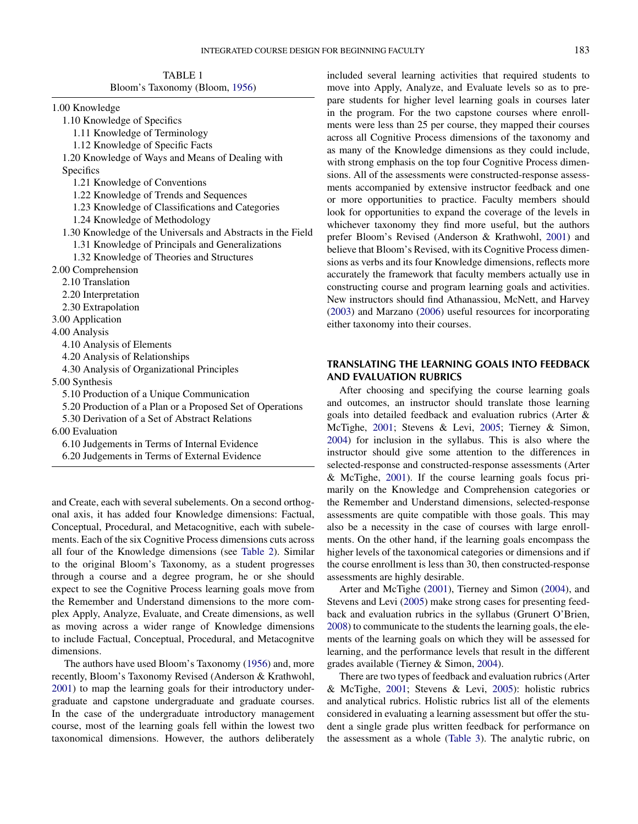TABLE 1 Bloom's Taxonomy (Bloom, [1956\)](#page-11-7)

| 1.00 Knowledge                                              |
|-------------------------------------------------------------|
| 1.10 Knowledge of Specifics                                 |
| 1.11 Knowledge of Terminology                               |
| 1.12 Knowledge of Specific Facts                            |
| 1.20 Knowledge of Ways and Means of Dealing with            |
| Specifics                                                   |
| 1.21 Knowledge of Conventions                               |
| 1.22 Knowledge of Trends and Sequences                      |
| 1.23 Knowledge of Classifications and Categories            |
| 1.24 Knowledge of Methodology                               |
| 1.30 Knowledge of the Universals and Abstracts in the Field |
| 1.31 Knowledge of Principals and Generalizations            |
| 1.32 Knowledge of Theories and Structures                   |
| 2.00 Comprehension                                          |
| 2.10 Translation                                            |
| 2.20 Interpretation                                         |
| 2.30 Extrapolation                                          |
| 3.00 Application                                            |
| 4.00 Analysis                                               |
| 4.10 Analysis of Elements                                   |
| 4.20 Analysis of Relationships                              |
| 4.30 Analysis of Organizational Principles                  |
| 5.00 Synthesis                                              |
| 5.10 Production of a Unique Communication                   |
| 5.20 Production of a Plan or a Proposed Set of Operations   |
| 5.30 Derivation of a Set of Abstract Relations              |
| 6.00 Evaluation                                             |
| 6.10 Judgements in Terms of Internal Evidence               |
| 6.20 Judgements in Terms of External Evidence               |

and Create, each with several subelements. On a second orthogonal axis, it has added four Knowledge dimensions: Factual, Conceptual, Procedural, and Metacognitive, each with subelements. Each of the six Cognitive Process dimensions cuts across all four of the Knowledge dimensions (see [Table 2\)](#page-5-0). Similar to the original Bloom's Taxonomy, as a student progresses through a course and a degree program, he or she should expect to see the Cognitive Process learning goals move from the Remember and Understand dimensions to the more complex Apply, Analyze, Evaluate, and Create dimensions, as well as moving across a wider range of Knowledge dimensions to include Factual, Conceptual, Procedural, and Metacognitve dimensions.

The authors have used Bloom's Taxonomy [\(1956\)](#page-11-7) and, more recently, Bloom's Taxonomy Revised (Anderson & Krathwohl, [2001\)](#page-11-8) to map the learning goals for their introductory undergraduate and capstone undergraduate and graduate courses. In the case of the undergraduate introductory management course, most of the learning goals fell within the lowest two taxonomical dimensions. However, the authors deliberately

<span id="page-4-0"></span>included several learning activities that required students to move into Apply, Analyze, and Evaluate levels so as to prepare students for higher level learning goals in courses later in the program. For the two capstone courses where enrollments were less than 25 per course, they mapped their courses across all Cognitive Process dimensions of the taxonomy and as many of the Knowledge dimensions as they could include, with strong emphasis on the top four Cognitive Process dimensions. All of the assessments were constructed-response assessments accompanied by extensive instructor feedback and one or more opportunities to practice. Faculty members should look for opportunities to expand the coverage of the levels in whichever taxonomy they find more useful, but the authors prefer Bloom's Revised (Anderson & Krathwohl, [2001\)](#page-11-8) and believe that Bloom's Revised, with its Cognitive Process dimensions as verbs and its four Knowledge dimensions, reflects more accurately the framework that faculty members actually use in constructing course and program learning goals and activities. New instructors should find Athanassiou, McNett, and Harvey [\(2003\)](#page-11-6) and Marzano [\(2006\)](#page-12-20) useful resources for incorporating either taxonomy into their courses.

## **TRANSLATING THE LEARNING GOALS INTO FEEDBACK AND EVALUATION RUBRICS**

After choosing and specifying the course learning goals and outcomes, an instructor should translate those learning goals into detailed feedback and evaluation rubrics (Arter & McTighe, [2001;](#page-11-9) Stevens & Levi, [2005;](#page-12-14) Tierney & Simon, [2004\)](#page-12-15) for inclusion in the syllabus. This is also where the instructor should give some attention to the differences in selected-response and constructed-response assessments (Arter & McTighe, [2001\)](#page-11-9). If the course learning goals focus primarily on the Knowledge and Comprehension categories or the Remember and Understand dimensions, selected-response assessments are quite compatible with those goals. This may also be a necessity in the case of courses with large enrollments. On the other hand, if the learning goals encompass the higher levels of the taxonomical categories or dimensions and if the course enrollment is less than 30, then constructed-response assessments are highly desirable.

Arter and McTighe [\(2001\)](#page-11-9), Tierney and Simon [\(2004\)](#page-12-15), and Stevens and Levi [\(2005\)](#page-12-14) make strong cases for presenting feedback and evaluation rubrics in the syllabus (Grunert O'Brien, [2008\)](#page-12-22) to communicate to the students the learning goals, the elements of the learning goals on which they will be assessed for learning, and the performance levels that result in the different grades available (Tierney & Simon, [2004\)](#page-12-15).

There are two types of feedback and evaluation rubrics (Arter & McTighe, [2001;](#page-11-9) Stevens & Levi, [2005\)](#page-12-14): holistic rubrics and analytical rubrics. Holistic rubrics list all of the elements considered in evaluating a learning assessment but offer the student a single grade plus written feedback for performance on the assessment as a whole [\(Table 3\)](#page-6-0). The analytic rubric, on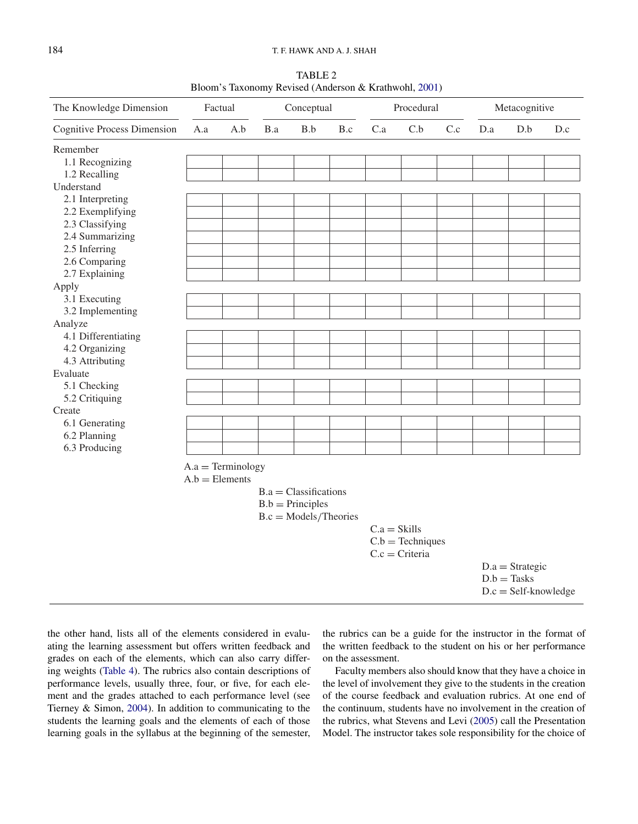| <b>Cognitive Process Dimension</b><br>C.a<br>C.b<br>A.b<br>B.a<br>B.b<br>B.c<br>C.c<br>D.a<br>D.b<br>D.c<br>A.a<br>Remember<br>1.1 Recognizing<br>1.2 Recalling<br>Understand<br>2.1 Interpreting<br>2.2 Exemplifying<br>2.3 Classifying<br>2.4 Summarizing<br>2.5 Inferring<br>2.6 Comparing<br>2.7 Explaining<br>Apply<br>3.1 Executing<br>3.2 Implementing<br>4.1 Differentiating<br>4.2 Organizing<br>4.3 Attributing<br>5.1 Checking<br>5.2 Critiquing<br>6.1 Generating<br>6.2 Planning<br>6.3 Producing<br>$A.a = Terminology$<br>$A.b =$ Elements<br>$B.a = Classifications$<br>$B.b = \text{Principles}$<br>$B.c = Models/Theories$<br>$C.a = Skills$<br>$C.b = Techniques$<br>$C.c =$ Criteria<br>$D.a = \text{Strategic}$<br>$D.b = Tasks$<br>$D.c = Self$ -knowledge | The Knowledge Dimension | Factual |  | Conceptual |  |  | Procedural |  |  | Metacognitive |  |  |
|----------------------------------------------------------------------------------------------------------------------------------------------------------------------------------------------------------------------------------------------------------------------------------------------------------------------------------------------------------------------------------------------------------------------------------------------------------------------------------------------------------------------------------------------------------------------------------------------------------------------------------------------------------------------------------------------------------------------------------------------------------------------------------|-------------------------|---------|--|------------|--|--|------------|--|--|---------------|--|--|
|                                                                                                                                                                                                                                                                                                                                                                                                                                                                                                                                                                                                                                                                                                                                                                                  |                         |         |  |            |  |  |            |  |  |               |  |  |
|                                                                                                                                                                                                                                                                                                                                                                                                                                                                                                                                                                                                                                                                                                                                                                                  |                         |         |  |            |  |  |            |  |  |               |  |  |
|                                                                                                                                                                                                                                                                                                                                                                                                                                                                                                                                                                                                                                                                                                                                                                                  |                         |         |  |            |  |  |            |  |  |               |  |  |
|                                                                                                                                                                                                                                                                                                                                                                                                                                                                                                                                                                                                                                                                                                                                                                                  |                         |         |  |            |  |  |            |  |  |               |  |  |
|                                                                                                                                                                                                                                                                                                                                                                                                                                                                                                                                                                                                                                                                                                                                                                                  |                         |         |  |            |  |  |            |  |  |               |  |  |
|                                                                                                                                                                                                                                                                                                                                                                                                                                                                                                                                                                                                                                                                                                                                                                                  |                         |         |  |            |  |  |            |  |  |               |  |  |
|                                                                                                                                                                                                                                                                                                                                                                                                                                                                                                                                                                                                                                                                                                                                                                                  |                         |         |  |            |  |  |            |  |  |               |  |  |
|                                                                                                                                                                                                                                                                                                                                                                                                                                                                                                                                                                                                                                                                                                                                                                                  |                         |         |  |            |  |  |            |  |  |               |  |  |
|                                                                                                                                                                                                                                                                                                                                                                                                                                                                                                                                                                                                                                                                                                                                                                                  |                         |         |  |            |  |  |            |  |  |               |  |  |
|                                                                                                                                                                                                                                                                                                                                                                                                                                                                                                                                                                                                                                                                                                                                                                                  |                         |         |  |            |  |  |            |  |  |               |  |  |
|                                                                                                                                                                                                                                                                                                                                                                                                                                                                                                                                                                                                                                                                                                                                                                                  |                         |         |  |            |  |  |            |  |  |               |  |  |
|                                                                                                                                                                                                                                                                                                                                                                                                                                                                                                                                                                                                                                                                                                                                                                                  |                         |         |  |            |  |  |            |  |  |               |  |  |
|                                                                                                                                                                                                                                                                                                                                                                                                                                                                                                                                                                                                                                                                                                                                                                                  |                         |         |  |            |  |  |            |  |  |               |  |  |
|                                                                                                                                                                                                                                                                                                                                                                                                                                                                                                                                                                                                                                                                                                                                                                                  |                         |         |  |            |  |  |            |  |  |               |  |  |
|                                                                                                                                                                                                                                                                                                                                                                                                                                                                                                                                                                                                                                                                                                                                                                                  |                         |         |  |            |  |  |            |  |  |               |  |  |
|                                                                                                                                                                                                                                                                                                                                                                                                                                                                                                                                                                                                                                                                                                                                                                                  | Analyze                 |         |  |            |  |  |            |  |  |               |  |  |
|                                                                                                                                                                                                                                                                                                                                                                                                                                                                                                                                                                                                                                                                                                                                                                                  |                         |         |  |            |  |  |            |  |  |               |  |  |
|                                                                                                                                                                                                                                                                                                                                                                                                                                                                                                                                                                                                                                                                                                                                                                                  |                         |         |  |            |  |  |            |  |  |               |  |  |
|                                                                                                                                                                                                                                                                                                                                                                                                                                                                                                                                                                                                                                                                                                                                                                                  |                         |         |  |            |  |  |            |  |  |               |  |  |
|                                                                                                                                                                                                                                                                                                                                                                                                                                                                                                                                                                                                                                                                                                                                                                                  | Evaluate                |         |  |            |  |  |            |  |  |               |  |  |
|                                                                                                                                                                                                                                                                                                                                                                                                                                                                                                                                                                                                                                                                                                                                                                                  |                         |         |  |            |  |  |            |  |  |               |  |  |
|                                                                                                                                                                                                                                                                                                                                                                                                                                                                                                                                                                                                                                                                                                                                                                                  |                         |         |  |            |  |  |            |  |  |               |  |  |
|                                                                                                                                                                                                                                                                                                                                                                                                                                                                                                                                                                                                                                                                                                                                                                                  | Create                  |         |  |            |  |  |            |  |  |               |  |  |
|                                                                                                                                                                                                                                                                                                                                                                                                                                                                                                                                                                                                                                                                                                                                                                                  |                         |         |  |            |  |  |            |  |  |               |  |  |
|                                                                                                                                                                                                                                                                                                                                                                                                                                                                                                                                                                                                                                                                                                                                                                                  |                         |         |  |            |  |  |            |  |  |               |  |  |
|                                                                                                                                                                                                                                                                                                                                                                                                                                                                                                                                                                                                                                                                                                                                                                                  |                         |         |  |            |  |  |            |  |  |               |  |  |
|                                                                                                                                                                                                                                                                                                                                                                                                                                                                                                                                                                                                                                                                                                                                                                                  |                         |         |  |            |  |  |            |  |  |               |  |  |
|                                                                                                                                                                                                                                                                                                                                                                                                                                                                                                                                                                                                                                                                                                                                                                                  |                         |         |  |            |  |  |            |  |  |               |  |  |
|                                                                                                                                                                                                                                                                                                                                                                                                                                                                                                                                                                                                                                                                                                                                                                                  |                         |         |  |            |  |  |            |  |  |               |  |  |
|                                                                                                                                                                                                                                                                                                                                                                                                                                                                                                                                                                                                                                                                                                                                                                                  |                         |         |  |            |  |  |            |  |  |               |  |  |
|                                                                                                                                                                                                                                                                                                                                                                                                                                                                                                                                                                                                                                                                                                                                                                                  |                         |         |  |            |  |  |            |  |  |               |  |  |
|                                                                                                                                                                                                                                                                                                                                                                                                                                                                                                                                                                                                                                                                                                                                                                                  |                         |         |  |            |  |  |            |  |  |               |  |  |
|                                                                                                                                                                                                                                                                                                                                                                                                                                                                                                                                                                                                                                                                                                                                                                                  |                         |         |  |            |  |  |            |  |  |               |  |  |
|                                                                                                                                                                                                                                                                                                                                                                                                                                                                                                                                                                                                                                                                                                                                                                                  |                         |         |  |            |  |  |            |  |  |               |  |  |
|                                                                                                                                                                                                                                                                                                                                                                                                                                                                                                                                                                                                                                                                                                                                                                                  |                         |         |  |            |  |  |            |  |  |               |  |  |
|                                                                                                                                                                                                                                                                                                                                                                                                                                                                                                                                                                                                                                                                                                                                                                                  |                         |         |  |            |  |  |            |  |  |               |  |  |
|                                                                                                                                                                                                                                                                                                                                                                                                                                                                                                                                                                                                                                                                                                                                                                                  |                         |         |  |            |  |  |            |  |  |               |  |  |

<span id="page-5-0"></span>TABLE 2 Bloom's Taxonomy Revised (Anderson & Krathwohl, [2001\)](#page-11-8)

the other hand, lists all of the elements considered in evaluating the learning assessment but offers written feedback and grades on each of the elements, which can also carry differing weights [\(Table 4\)](#page-7-0). The rubrics also contain descriptions of performance levels, usually three, four, or five, for each element and the grades attached to each performance level (see Tierney & Simon, [2004\)](#page-12-15). In addition to communicating to the students the learning goals and the elements of each of those learning goals in the syllabus at the beginning of the semester,

the rubrics can be a guide for the instructor in the format of the written feedback to the student on his or her performance on the assessment.

Faculty members also should know that they have a choice in the level of involvement they give to the students in the creation of the course feedback and evaluation rubrics. At one end of the continuum, students have no involvement in the creation of the rubrics, what Stevens and Levi [\(2005\)](#page-12-14) call the Presentation Model. The instructor takes sole responsibility for the choice of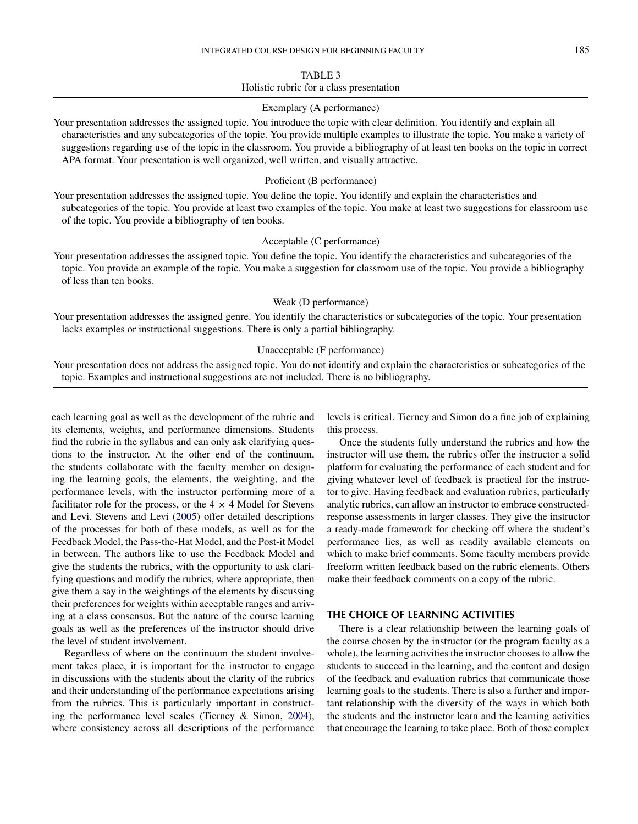## TABLE 3 Holistic rubric for a class presentation

#### <span id="page-6-0"></span>Exemplary (A performance)

Your presentation addresses the assigned topic. You introduce the topic with clear definition. You identify and explain all characteristics and any subcategories of the topic. You provide multiple examples to illustrate the topic. You make a variety of suggestions regarding use of the topic in the classroom. You provide a bibliography of at least ten books on the topic in correct APA format. Your presentation is well organized, well written, and visually attractive.

#### Proficient (B performance)

Your presentation addresses the assigned topic. You define the topic. You identify and explain the characteristics and subcategories of the topic. You provide at least two examples of the topic. You make at least two suggestions for classroom use of the topic. You provide a bibliography of ten books.

### Acceptable (C performance)

Your presentation addresses the assigned topic. You define the topic. You identify the characteristics and subcategories of the topic. You provide an example of the topic. You make a suggestion for classroom use of the topic. You provide a bibliography of less than ten books.

### Weak (D performance)

Your presentation addresses the assigned genre. You identify the characteristics or subcategories of the topic. Your presentation lacks examples or instructional suggestions. There is only a partial bibliography.

### Unacceptable (F performance)

Your presentation does not address the assigned topic. You do not identify and explain the characteristics or subcategories of the topic. Examples and instructional suggestions are not included. There is no bibliography.

each learning goal as well as the development of the rubric and its elements, weights, and performance dimensions. Students find the rubric in the syllabus and can only ask clarifying questions to the instructor. At the other end of the continuum, the students collaborate with the faculty member on designing the learning goals, the elements, the weighting, and the performance levels, with the instructor performing more of a facilitator role for the process, or the  $4 \times 4$  Model for Stevens and Levi. Stevens and Levi [\(2005\)](#page-12-14) offer detailed descriptions of the processes for both of these models, as well as for the Feedback Model, the Pass-the-Hat Model, and the Post-it Model in between. The authors like to use the Feedback Model and give the students the rubrics, with the opportunity to ask clarifying questions and modify the rubrics, where appropriate, then give them a say in the weightings of the elements by discussing their preferences for weights within acceptable ranges and arriving at a class consensus. But the nature of the course learning goals as well as the preferences of the instructor should drive the level of student involvement.

Regardless of where on the continuum the student involvement takes place, it is important for the instructor to engage in discussions with the students about the clarity of the rubrics and their understanding of the performance expectations arising from the rubrics. This is particularly important in constructing the performance level scales (Tierney & Simon, [2004\)](#page-12-15), where consistency across all descriptions of the performance levels is critical. Tierney and Simon do a fine job of explaining this process.

Once the students fully understand the rubrics and how the instructor will use them, the rubrics offer the instructor a solid platform for evaluating the performance of each student and for giving whatever level of feedback is practical for the instructor to give. Having feedback and evaluation rubrics, particularly analytic rubrics, can allow an instructor to embrace constructedresponse assessments in larger classes. They give the instructor a ready-made framework for checking off where the student's performance lies, as well as readily available elements on which to make brief comments. Some faculty members provide freeform written feedback based on the rubric elements. Others make their feedback comments on a copy of the rubric.

#### **THE CHOICE OF LEARNING ACTIVITIES**

There is a clear relationship between the learning goals of the course chosen by the instructor (or the program faculty as a whole), the learning activities the instructor chooses to allow the students to succeed in the learning, and the content and design of the feedback and evaluation rubrics that communicate those learning goals to the students. There is also a further and important relationship with the diversity of the ways in which both the students and the instructor learn and the learning activities that encourage the learning to take place. Both of those complex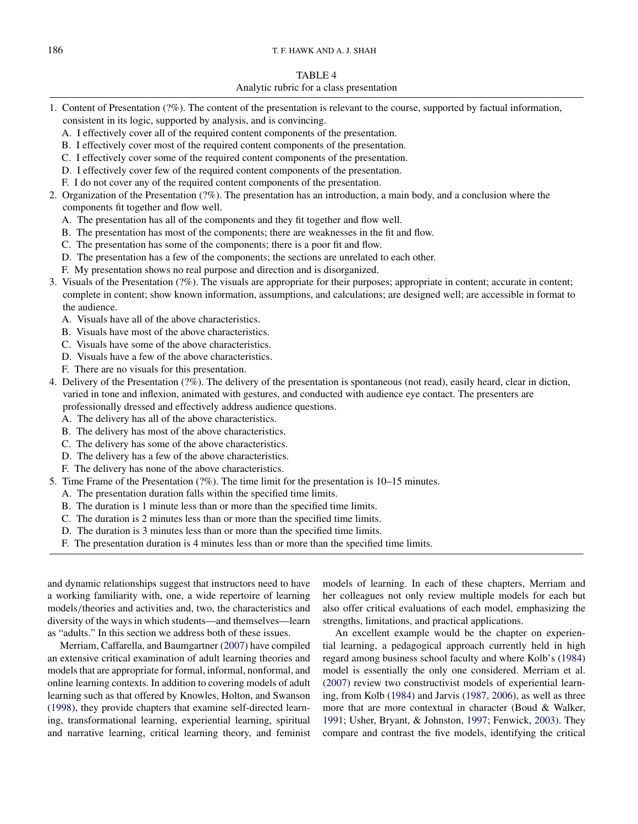## <span id="page-7-0"></span>TABLE 4 Analytic rubric for a class presentation

- 1. Content of Presentation (?%). The content of the presentation is relevant to the course, supported by factual information, consistent in its logic, supported by analysis, and is convincing.
	- A. I effectively cover all of the required content components of the presentation.
	- B. I effectively cover most of the required content components of the presentation.
	- C. I effectively cover some of the required content components of the presentation.
	- D. I effectively cover few of the required content components of the presentation.
	- F. I do not cover any of the required content components of the presentation.
- 2. Organization of the Presentation (?%). The presentation has an introduction, a main body, and a conclusion where the components fit together and flow well.
	- A. The presentation has all of the components and they fit together and flow well.
	- B. The presentation has most of the components; there are weaknesses in the fit and flow.
	- C. The presentation has some of the components; there is a poor fit and flow.
	- D. The presentation has a few of the components; the sections are unrelated to each other.
	- F. My presentation shows no real purpose and direction and is disorganized.
- 3. Visuals of the Presentation (?%). The visuals are appropriate for their purposes; appropriate in content; accurate in content; complete in content; show known information, assumptions, and calculations; are designed well; are accessible in format to the audience.
	- A. Visuals have all of the above characteristics.
	- B. Visuals have most of the above characteristics.
	- C. Visuals have some of the above characteristics.
	- D. Visuals have a few of the above characteristics.
	- F. There are no visuals for this presentation.
- 4. Delivery of the Presentation (?%). The delivery of the presentation is spontaneous (not read), easily heard, clear in diction, varied in tone and inflexion, animated with gestures, and conducted with audience eye contact. The presenters are professionally dressed and effectively address audience questions.
	- A. The delivery has all of the above characteristics.
	- B. The delivery has most of the above characteristics.
	- C. The delivery has some of the above characteristics.
	- D. The delivery has a few of the above characteristics.
	- F. The delivery has none of the above characteristics.
- 5. Time Frame of the Presentation (?%). The time limit for the presentation is 10–15 minutes.
	- A. The presentation duration falls within the specified time limits.
	- B. The duration is 1 minute less than or more than the specified time limits.
	- C. The duration is 2 minutes less than or more than the specified time limits.
	- D. The duration is 3 minutes less than or more than the specified time limits.
	- F. The presentation duration is 4 minutes less than or more than the specified time limits.

and dynamic relationships suggest that instructors need to have a working familiarity with, one, a wide repertoire of learning models*/*theories and activities and, two, the characteristics and diversity of the ways in which students—and themselves—learn as "adults." In this section we address both of these issues.

Merriam, Caffarella, and Baumgartner [\(2007\)](#page-12-24) have compiled an extensive critical examination of adult learning theories and models that are appropriate for formal, informal, nonformal, and online learning contexts. In addition to covering models of adult learning such as that offered by Knowles, Holton, and Swanson [\(1998\)](#page-12-23), they provide chapters that examine self-directed learning, transformational learning, experiential learning, spiritual and narrative learning, critical learning theory, and feminist

models of learning. In each of these chapters, Merriam and her colleagues not only review multiple models for each but also offer critical evaluations of each model, emphasizing the strengths, limitations, and practical applications.

An excellent example would be the chapter on experiential learning, a pedagogical approach currently held in high regard among business school faculty and where Kolb's [\(1984\)](#page-12-30) model is essentially the only one considered. Merriam et al. [\(2007\)](#page-12-24) review two constructivist models of experiential learning, from Kolb [\(1984\)](#page-12-30) and Jarvis [\(1987,](#page-12-31) [2006\)](#page-12-32), as well as three more that are more contextual in character (Boud & Walker, [1991;](#page-11-14) Usher, Bryant, & Johnston, [1997;](#page-12-33) Fenwick, [2003\)](#page-12-34). They compare and contrast the five models, identifying the critical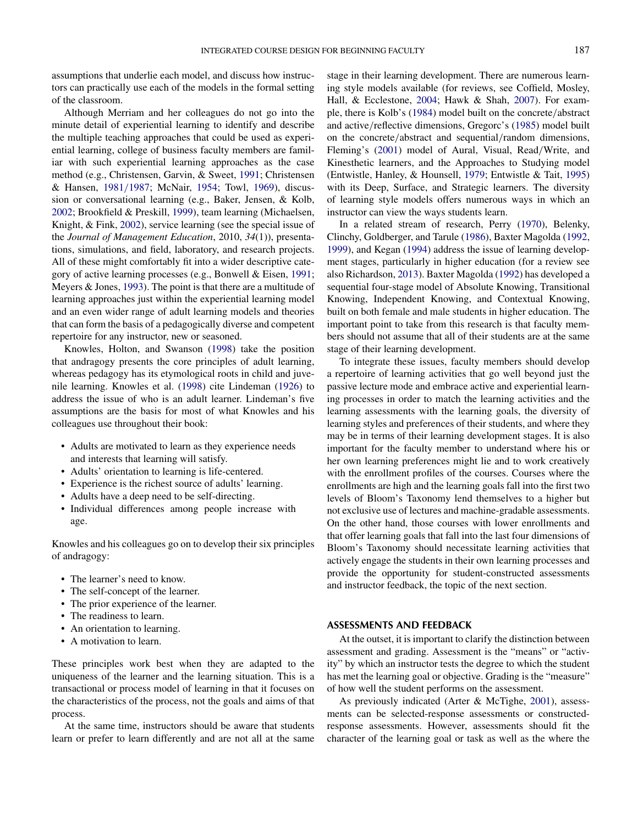assumptions that underlie each model, and discuss how instructors can practically use each of the models in the formal setting of the classroom.

Although Merriam and her colleagues do not go into the minute detail of experiential learning to identify and describe the multiple teaching approaches that could be used as experiential learning, college of business faculty members are familiar with such experiential learning approaches as the case method (e.g., Christensen, Garvin, & Sweet, [1991;](#page-11-15) Christensen & Hansen, 1981*/*[1987;](#page-11-16) McNair, [1954;](#page-12-35) Towl, [1969\)](#page-12-36), discussion or conversational learning (e.g., Baker, Jensen, & Kolb, [2002;](#page-11-17) Brookfield & Preskill, [1999\)](#page-11-18), team learning (Michaelsen, Knight, & Fink, [2002\)](#page-12-37), service learning (see the special issue of the *Journal of Management Education*, 2010, *34*(1)), presentations, simulations, and field, laboratory, and research projects. All of these might comfortably fit into a wider descriptive category of active learning processes (e.g., Bonwell & Eisen, [1991;](#page-11-19) Meyers & Jones, [1993\)](#page-12-38). The point is that there are a multitude of learning approaches just within the experiential learning model and an even wider range of adult learning models and theories that can form the basis of a pedagogically diverse and competent repertoire for any instructor, new or seasoned.

Knowles, Holton, and Swanson [\(1998\)](#page-12-23) take the position that andragogy presents the core principles of adult learning, whereas pedagogy has its etymological roots in child and juvenile learning. Knowles et al. [\(1998\)](#page-12-23) cite Lindeman [\(1926\)](#page-12-39) to address the issue of who is an adult learner. Lindeman's five assumptions are the basis for most of what Knowles and his colleagues use throughout their book:

- Adults are motivated to learn as they experience needs and interests that learning will satisfy.
- Adults' orientation to learning is life-centered.
- Experience is the richest source of adults' learning.
- Adults have a deep need to be self-directing.
- Individual differences among people increase with age.

Knowles and his colleagues go on to develop their six principles of andragogy:

- The learner's need to know.
- The self-concept of the learner.
- The prior experience of the learner.
- The readiness to learn.
- An orientation to learning.
- A motivation to learn.

These principles work best when they are adapted to the uniqueness of the learner and the learning situation. This is a transactional or process model of learning in that it focuses on the characteristics of the process, not the goals and aims of that process.

At the same time, instructors should be aware that students learn or prefer to learn differently and are not all at the same

stage in their learning development. There are numerous learning style models available (for reviews, see Coffield, Mosley, Hall, & Ecclestone, [2004;](#page-11-10) Hawk & Shah, [2007\)](#page-12-18). For example, there is Kolb's [\(1984\)](#page-12-30) model built on the concrete*/*abstract and active*/*reflective dimensions, Gregorc's [\(1985\)](#page-12-40) model built on the concrete*/*abstract and sequential*/*random dimensions, Fleming's [\(2001\)](#page-12-41) model of Aural, Visual, Read*/*Write, and Kinesthetic learners, and the Approaches to Studying model (Entwistle, Hanley, & Hounsell, [1979;](#page-12-42) Entwistle & Tait, [1995\)](#page-12-43) with its Deep, Surface, and Strategic learners. The diversity of learning style models offers numerous ways in which an instructor can view the ways students learn.

In a related stream of research, Perry [\(1970\)](#page-12-44), Belenky, Clinchy, Goldberger, and Tarule [\(1986\)](#page-11-20), Baxter Magolda [\(1992,](#page-11-11) [1999\)](#page-11-12), and Kegan [\(1994\)](#page-12-45) address the issue of learning development stages, particularly in higher education (for a review see also Richardson, [2013\)](#page-12-46). Baxter Magolda [\(1992\)](#page-11-11) has developed a sequential four-stage model of Absolute Knowing, Transitional Knowing, Independent Knowing, and Contextual Knowing, built on both female and male students in higher education. The important point to take from this research is that faculty members should not assume that all of their students are at the same stage of their learning development.

To integrate these issues, faculty members should develop a repertoire of learning activities that go well beyond just the passive lecture mode and embrace active and experiential learning processes in order to match the learning activities and the learning assessments with the learning goals, the diversity of learning styles and preferences of their students, and where they may be in terms of their learning development stages. It is also important for the faculty member to understand where his or her own learning preferences might lie and to work creatively with the enrollment profiles of the courses. Courses where the enrollments are high and the learning goals fall into the first two levels of Bloom's Taxonomy lend themselves to a higher but not exclusive use of lectures and machine-gradable assessments. On the other hand, those courses with lower enrollments and that offer learning goals that fall into the last four dimensions of Bloom's Taxonomy should necessitate learning activities that actively engage the students in their own learning processes and provide the opportunity for student-constructed assessments and instructor feedback, the topic of the next section.

#### **ASSESSMENTS AND FEEDBACK**

At the outset, it is important to clarify the distinction between assessment and grading. Assessment is the "means" or "activity" by which an instructor tests the degree to which the student has met the learning goal or objective. Grading is the "measure" of how well the student performs on the assessment.

As previously indicated (Arter & McTighe, [2001\)](#page-11-9), assessments can be selected-response assessments or constructedresponse assessments. However, assessments should fit the character of the learning goal or task as well as the where the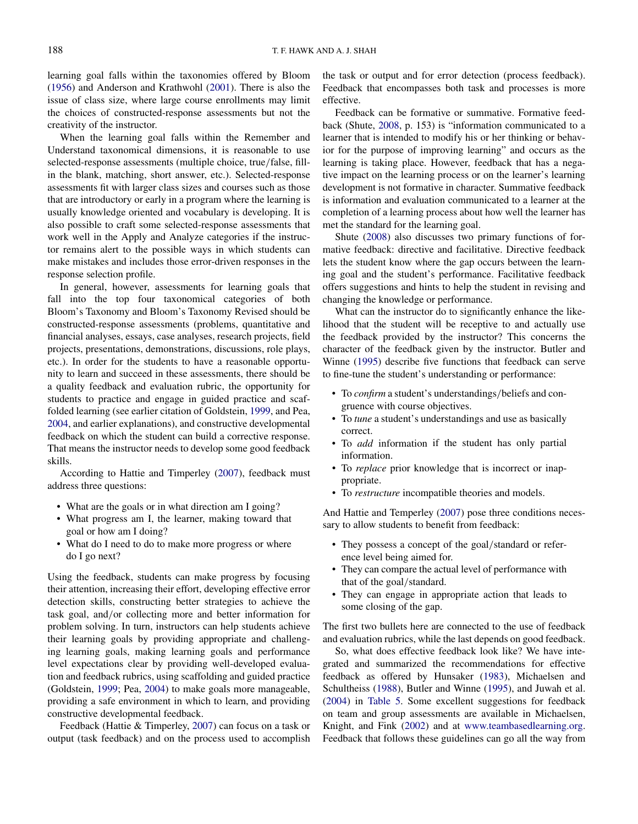learning goal falls within the taxonomies offered by Bloom [\(1956\)](#page-11-7) and Anderson and Krathwohl [\(2001\)](#page-11-8). There is also the issue of class size, where large course enrollments may limit the choices of constructed-response assessments but not the creativity of the instructor.

When the learning goal falls within the Remember and Understand taxonomical dimensions, it is reasonable to use selected-response assessments (multiple choice, true*/*false, fillin the blank, matching, short answer, etc.). Selected-response assessments fit with larger class sizes and courses such as those that are introductory or early in a program where the learning is usually knowledge oriented and vocabulary is developing. It is also possible to craft some selected-response assessments that work well in the Apply and Analyze categories if the instructor remains alert to the possible ways in which students can make mistakes and includes those error-driven responses in the response selection profile.

In general, however, assessments for learning goals that fall into the top four taxonomical categories of both Bloom's Taxonomy and Bloom's Taxonomy Revised should be constructed-response assessments (problems, quantitative and financial analyses, essays, case analyses, research projects, field projects, presentations, demonstrations, discussions, role plays, etc.). In order for the students to have a reasonable opportunity to learn and succeed in these assessments, there should be a quality feedback and evaluation rubric, the opportunity for students to practice and engage in guided practice and scaffolded learning (see earlier citation of Goldstein, [1999,](#page-12-16) and Pea, [2004,](#page-12-17) and earlier explanations), and constructive developmental feedback on which the student can build a corrective response. That means the instructor needs to develop some good feedback skills.

According to Hattie and Timperley [\(2007\)](#page-12-25), feedback must address three questions:

- What are the goals or in what direction am I going?
- What progress am I, the learner, making toward that goal or how am I doing?
- What do I need to do to make more progress or where do I go next?

Using the feedback, students can make progress by focusing their attention, increasing their effort, developing effective error detection skills, constructing better strategies to achieve the task goal, and*/*or collecting more and better information for problem solving. In turn, instructors can help students achieve their learning goals by providing appropriate and challenging learning goals, making learning goals and performance level expectations clear by providing well-developed evaluation and feedback rubrics, using scaffolding and guided practice (Goldstein, [1999;](#page-12-16) Pea, [2004\)](#page-12-17) to make goals more manageable, providing a safe environment in which to learn, and providing constructive developmental feedback.

Feedback (Hattie & Timperley, [2007\)](#page-12-25) can focus on a task or output (task feedback) and on the process used to accomplish

the task or output and for error detection (process feedback). Feedback that encompasses both task and processes is more effective.

Feedback can be formative or summative. Formative feedback (Shute, [2008,](#page-12-29) p. 153) is "information communicated to a learner that is intended to modify his or her thinking or behavior for the purpose of improving learning" and occurs as the learning is taking place. However, feedback that has a negative impact on the learning process or on the learner's learning development is not formative in character. Summative feedback is information and evaluation communicated to a learner at the completion of a learning process about how well the learner has met the standard for the learning goal.

Shute [\(2008\)](#page-12-29) also discusses two primary functions of formative feedback: directive and facilitative. Directive feedback lets the student know where the gap occurs between the learning goal and the student's performance. Facilitative feedback offers suggestions and hints to help the student in revising and changing the knowledge or performance.

What can the instructor do to significantly enhance the likelihood that the student will be receptive to and actually use the feedback provided by the instructor? This concerns the character of the feedback given by the instructor. Butler and Winne [\(1995\)](#page-11-21) describe five functions that feedback can serve to fine-tune the student's understanding or performance:

- To *confirm* a student's understandings*/*beliefs and congruence with course objectives.
- To *tune* a student's understandings and use as basically correct.
- To *add* information if the student has only partial information.
- To *replace* prior knowledge that is incorrect or inappropriate.
- To *restructure* incompatible theories and models.

And Hattie and Temperley [\(2007\)](#page-12-25) pose three conditions necessary to allow students to benefit from feedback:

- They possess a concept of the goal*/*standard or reference level being aimed for.
- They can compare the actual level of performance with that of the goal*/*standard.
- They can engage in appropriate action that leads to some closing of the gap.

The first two bullets here are connected to the use of feedback and evaluation rubrics, while the last depends on good feedback.

So, what does effective feedback look like? We have integrated and summarized the recommendations for effective feedback as offered by Hunsaker [\(1983\)](#page-12-26), Michaelsen and Schultheiss [\(1988\)](#page-12-28), Butler and Winne [\(1995\)](#page-11-21), and Juwah et al. [\(2004\)](#page-12-27) in [Table 5.](#page-10-0) Some excellent suggestions for feedback on team and group assessments are available in Michaelsen, Knight, and Fink [\(2002\)](#page-12-37) and at www.teambasedlearning.org. Feedback that follows these guidelines can go all the way from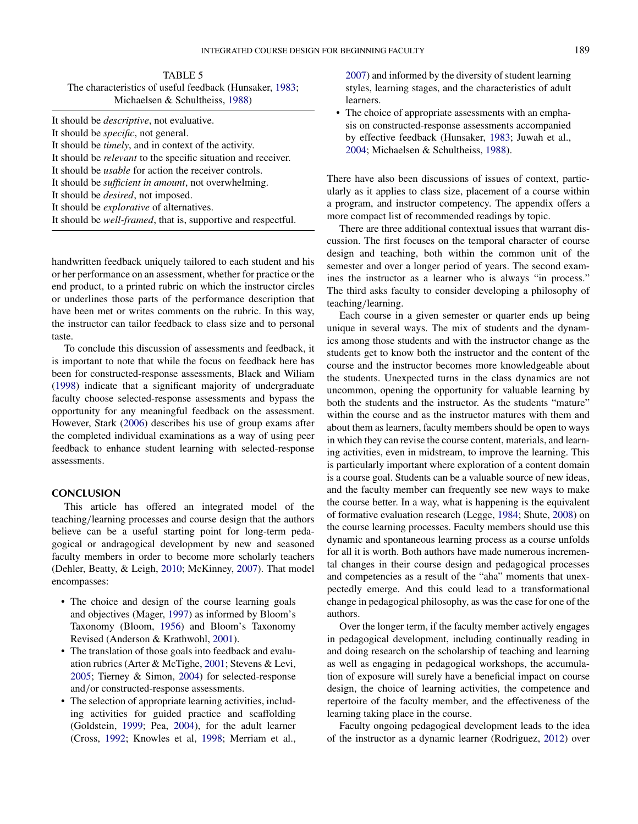| TABLE 5                                                 |  |
|---------------------------------------------------------|--|
| The characteristics of useful feedback (Hunsaker, 1983; |  |
| Michaelsen & Schultheiss, 1988)                         |  |

handwritten feedback uniquely tailored to each student and his or her performance on an assessment, whether for practice or the end product, to a printed rubric on which the instructor circles or underlines those parts of the performance description that have been met or writes comments on the rubric. In this way, the instructor can tailor feedback to class size and to personal taste.

To conclude this discussion of assessments and feedback, it is important to note that while the focus on feedback here has been for constructed-response assessments, Black and Wiliam [\(1998\)](#page-11-22) indicate that a significant majority of undergraduate faculty choose selected-response assessments and bypass the opportunity for any meaningful feedback on the assessment. However, Stark [\(2006\)](#page-12-47) describes his use of group exams after the completed individual examinations as a way of using peer feedback to enhance student learning with selected-response assessments.

#### **CONCLUSION**

This article has offered an integrated model of the teaching*/*learning processes and course design that the authors believe can be a useful starting point for long-term pedagogical or andragogical development by new and seasoned faculty members in order to become more scholarly teachers (Dehler, Beatty, & Leigh, [2010;](#page-12-3) McKinney, [2007\)](#page-12-8). That model encompasses:

- The choice and design of the course learning goals and objectives (Mager, [1997\)](#page-12-12) as informed by Bloom's Taxonomy (Bloom, [1956\)](#page-11-7) and Bloom's Taxonomy Revised (Anderson & Krathwohl, [2001\)](#page-11-8).
- The translation of those goals into feedback and evaluation rubrics (Arter & McTighe, [2001;](#page-11-9) Stevens & Levi, [2005;](#page-12-14) Tierney & Simon, [2004\)](#page-12-15) for selected-response and*/*or constructed-response assessments.
- The selection of appropriate learning activities, including activities for guided practice and scaffolding (Goldstein, [1999;](#page-12-16) Pea, [2004\)](#page-12-17), for the adult learner (Cross, [1992;](#page-11-13) Knowles et al, [1998;](#page-12-23) Merriam et al.,

[2007\)](#page-12-24) and informed by the diversity of student learning styles, learning stages, and the characteristics of adult learners.

<span id="page-10-0"></span>The choice of appropriate assessments with an emphasis on constructed-response assessments accompanied by effective feedback (Hunsaker, [1983;](#page-12-26) Juwah et al., [2004;](#page-12-27) Michaelsen & Schultheiss, [1988\)](#page-12-28).

There have also been discussions of issues of context, particularly as it applies to class size, placement of a course within a program, and instructor competency. The appendix offers a more compact list of recommended readings by topic.

There are three additional contextual issues that warrant discussion. The first focuses on the temporal character of course design and teaching, both within the common unit of the semester and over a longer period of years. The second examines the instructor as a learner who is always "in process." The third asks faculty to consider developing a philosophy of teaching*/*learning.

Each course in a given semester or quarter ends up being unique in several ways. The mix of students and the dynamics among those students and with the instructor change as the students get to know both the instructor and the content of the course and the instructor becomes more knowledgeable about the students. Unexpected turns in the class dynamics are not uncommon, opening the opportunity for valuable learning by both the students and the instructor. As the students "mature" within the course and as the instructor matures with them and about them as learners, faculty members should be open to ways in which they can revise the course content, materials, and learning activities, even in midstream, to improve the learning. This is particularly important where exploration of a content domain is a course goal. Students can be a valuable source of new ideas, and the faculty member can frequently see new ways to make the course better. In a way, what is happening is the equivalent of formative evaluation research (Legge, [1984;](#page-12-48) Shute, [2008\)](#page-12-29) on the course learning processes. Faculty members should use this dynamic and spontaneous learning process as a course unfolds for all it is worth. Both authors have made numerous incremental changes in their course design and pedagogical processes and competencies as a result of the "aha" moments that unexpectedly emerge. And this could lead to a transformational change in pedagogical philosophy, as was the case for one of the authors.

Over the longer term, if the faculty member actively engages in pedagogical development, including continually reading in and doing research on the scholarship of teaching and learning as well as engaging in pedagogical workshops, the accumulation of exposure will surely have a beneficial impact on course design, the choice of learning activities, the competence and repertoire of the faculty member, and the effectiveness of the learning taking place in the course.

Faculty ongoing pedagogical development leads to the idea of the instructor as a dynamic learner (Rodriguez, [2012\)](#page-12-21) over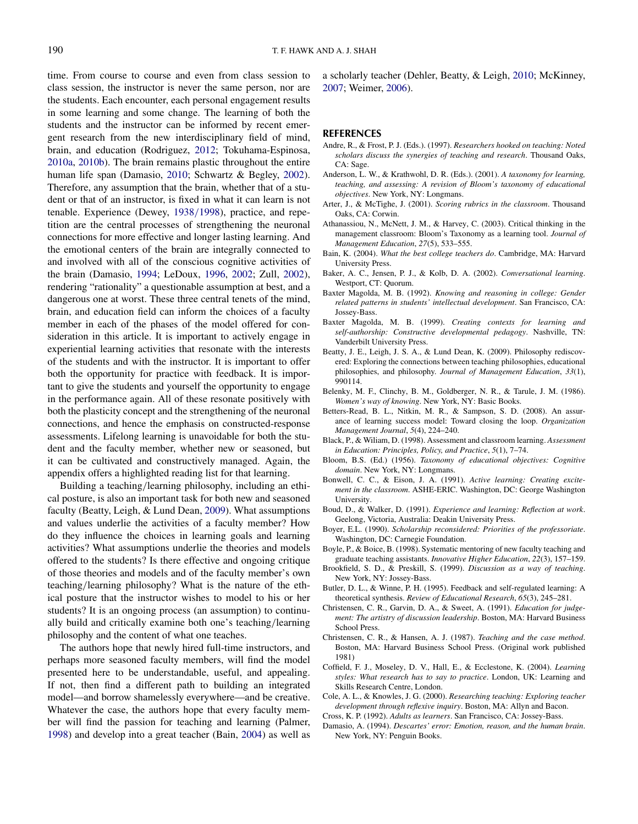time. From course to course and even from class session to class session, the instructor is never the same person, nor are the students. Each encounter, each personal engagement results in some learning and some change. The learning of both the students and the instructor can be informed by recent emergent research from the new interdisciplinary field of mind, brain, and education (Rodriguez, [2012;](#page-12-21) Tokuhama-Espinosa, [2010a,](#page-12-49) [2010b\)](#page-12-50). The brain remains plastic throughout the entire human life span (Damasio, [2010;](#page-12-51) Schwartz & Begley, [2002\)](#page-12-52). Therefore, any assumption that the brain, whether that of a student or that of an instructor, is fixed in what it can learn is not tenable. Experience (Dewey, 1938*/*[1998\)](#page-12-53), practice, and repetition are the central processes of strengthening the neuronal connections for more effective and longer lasting learning. And the emotional centers of the brain are integrally connected to and involved with all of the conscious cognitive activities of the brain (Damasio, [1994;](#page-11-23) LeDoux, [1996,](#page-12-54) [2002;](#page-12-55) Zull, [2002\)](#page-13-0), rendering "rationality" a questionable assumption at best, and a dangerous one at worst. These three central tenets of the mind, brain, and education field can inform the choices of a faculty member in each of the phases of the model offered for consideration in this article. It is important to actively engage in experiential learning activities that resonate with the interests of the students and with the instructor. It is important to offer both the opportunity for practice with feedback. It is important to give the students and yourself the opportunity to engage in the performance again. All of these resonate positively with both the plasticity concept and the strengthening of the neuronal connections, and hence the emphasis on constructed-response assessments. Lifelong learning is unavoidable for both the student and the faculty member, whether new or seasoned, but it can be cultivated and constructively managed. Again, the appendix offers a highlighted reading list for that learning.

Building a teaching*/*learning philosophy, including an ethical posture, is also an important task for both new and seasoned faculty (Beatty, Leigh, & Lund Dean, [2009\)](#page-11-24). What assumptions and values underlie the activities of a faculty member? How do they influence the choices in learning goals and learning activities? What assumptions underlie the theories and models offered to the students? Is there effective and ongoing critique of those theories and models and of the faculty member's own teaching*/*learning philosophy? What is the nature of the ethical posture that the instructor wishes to model to his or her students? It is an ongoing process (an assumption) to continually build and critically examine both one's teaching*/*learning philosophy and the content of what one teaches.

The authors hope that newly hired full-time instructors, and perhaps more seasoned faculty members, will find the model presented here to be understandable, useful, and appealing. If not, then find a different path to building an integrated model—and borrow shamelessly everywhere—and be creative. Whatever the case, the authors hope that every faculty member will find the passion for teaching and learning (Palmer, [1998\)](#page-12-56) and develop into a great teacher (Bain, [2004\)](#page-11-5) as well as a scholarly teacher (Dehler, Beatty, & Leigh, [2010;](#page-12-3) McKinney, [2007;](#page-12-8) Weimer, [2006\)](#page-12-9).

#### **REFERENCES**

- <span id="page-11-3"></span>Andre, R., & Frost, P. J. (Eds.). (1997). *Researchers hooked on teaching: Noted scholars discuss the synergies of teaching and research*. Thousand Oaks, CA: Sage.
- <span id="page-11-8"></span>Anderson, L. W., & Krathwohl, D. R. (Eds.). (2001). *A taxonomy for learning, teaching, and assessing: A revision of Bloom's taxonomy of educational objectives*. New York, NY: Longmans.
- <span id="page-11-9"></span>Arter, J., & McTighe, J. (2001). *Scoring rubrics in the classroom*. Thousand Oaks, CA: Corwin.
- <span id="page-11-6"></span>Athanassiou, N., McNett, J. M., & Harvey, C. (2003). Critical thinking in the management classroom: Bloom's Taxonomy as a learning tool. *Journal of Management Education*, *27*(5), 533–555.
- <span id="page-11-5"></span>Bain, K. (2004). *What the best college teachers do*. Cambridge, MA: Harvard University Press.
- <span id="page-11-17"></span>Baker, A. C., Jensen, P. J., & Kolb, D. A. (2002). *Conversational learning*. Westport, CT: Quorum.
- <span id="page-11-11"></span>Baxter Magolda, M. B. (1992). *Knowing and reasoning in college: Gender related patterns in students' intellectual development*. San Francisco, CA: Jossey-Bass.
- <span id="page-11-12"></span>Baxter Magolda, M. B. (1999). *Creating contexts for learning and self-authorship: Constructive developmental pedagogy*. Nashville, TN: Vanderbilt University Press.
- <span id="page-11-24"></span>Beatty, J. E., Leigh, J. S. A., & Lund Dean, K. (2009). Philosophy rediscovered: Exploring the connections between teaching philosophies, educational philosophies, and philosophy. *Journal of Management Education*, *33*(1), 990114.
- <span id="page-11-20"></span>Belenky, M. F., Clinchy, B. M., Goldberger, N. R., & Tarule, J. M. (1986). *Women's way of knowing*. New York, NY: Basic Books.
- <span id="page-11-2"></span>Betters-Read, B. L., Nitkin, M. R., & Sampson, S. D. (2008). An assurance of learning success model: Toward closing the loop. *Organization Management Journal*, *5*(4), 224–240.
- <span id="page-11-22"></span>Black, P., & Wiliam, D. (1998). Assessment and classroom learning. *Assessment in Education: Principles, Policy, and Practice*, *5*(1), 7–74.
- <span id="page-11-7"></span>Bloom, B.S. (Ed.) (1956). *Taxonomy of educational objectives: Cognitive domain*. New York, NY: Longmans.
- <span id="page-11-19"></span>Bonwell, C. C., & Eison, J. A. (1991). *Active learning: Creating excitement in the classroom*. ASHE-ERIC. Washington, DC: George Washington University.
- <span id="page-11-14"></span>Boud, D., & Walker, D. (1991). *Experience and learning: Reflection at work*. Geelong, Victoria, Australia: Deakin University Press.
- <span id="page-11-1"></span>Boyer, E.L. (1990). *Scholarship reconsidered: Priorities of the professoriate*. Washington, DC: Carnegie Foundation.
- <span id="page-11-0"></span>Boyle, P., & Boice, B. (1998). Systematic mentoring of new faculty teaching and graduate teaching assistants. *Innovative Higher Education*, *22*(3), 157–159.
- <span id="page-11-18"></span>Brookfield, S. D., & Preskill, S. (1999). *Discussion as a way of teaching*. New York, NY: Jossey-Bass.
- <span id="page-11-21"></span>Butler, D. L., & Winne, P. H. (1995). Feedback and self-regulated learning: A theoretical synthesis. *Review of Educational Research*, *65*(3), 245–281.
- <span id="page-11-15"></span>Christensen, C. R., Garvin, D. A., & Sweet, A. (1991). *Education for judgement: The artistry of discussion leadership*. Boston, MA: Harvard Business School Press.
- <span id="page-11-16"></span>Christensen, C. R., & Hansen, A. J. (1987). *Teaching and the case method*. Boston, MA: Harvard Business School Press. (Original work published 1981)
- <span id="page-11-10"></span>Coffield, F. J., Moseley, D. V., Hall, E., & Ecclestone, K. (2004). *Learning styles: What research has to say to practice*. London, UK: Learning and Skills Research Centre, London.
- <span id="page-11-4"></span>Cole, A. L., & Knowles, J. G. (2000). *Researching teaching: Exploring teacher development through reflexive inquiry*. Boston, MA: Allyn and Bacon.
- <span id="page-11-23"></span><span id="page-11-13"></span>Cross, K. P. (1992). *Adults as learners*. San Francisco, CA: Jossey-Bass. Damasio, A. (1994). *Descartes' error: Emotion, reason, and the human brain*. New York, NY: Penguin Books.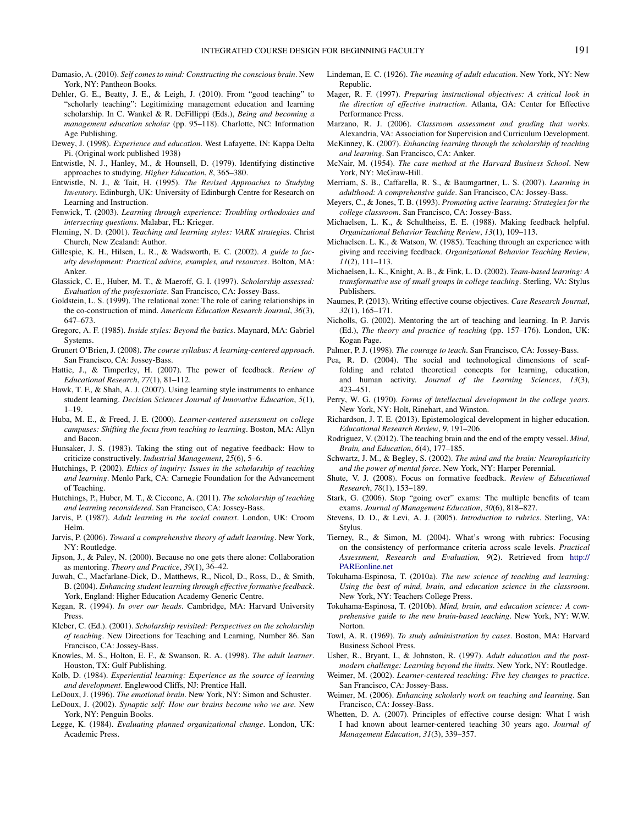- <span id="page-12-51"></span>Damasio, A. (2010). *Self comes to mind: Constructing the conscious brain*. New York, NY: Pantheon Books.
- <span id="page-12-3"></span>Dehler, G. E., Beatty, J. E., & Leigh, J. (2010). From "good teaching" to "scholarly teaching": Legitimizing management education and learning scholarship. In C. Wankel & R. DeFillippi (Eds.), *Being and becoming a management education scholar* (pp. 95–118). Charlotte, NC: Information Age Publishing.
- <span id="page-12-53"></span>Dewey, J. (1998). *Experience and education*. West Lafayette, IN: Kappa Delta Pi. (Original work published 1938)
- <span id="page-12-42"></span>Entwistle, N. J., Hanley, M., & Hounsell, D. (1979). Identifying distinctive approaches to studying. *Higher Education*, *8*, 365–380.
- <span id="page-12-43"></span>Entwistle, N. J., & Tait, H. (1995). *The Revised Approaches to Studying Inventory*. Edinburgh, UK: University of Edinburgh Centre for Research on Learning and Instruction.
- <span id="page-12-34"></span>Fenwick, T. (2003). *Learning through experience: Troubling orthodoxies and intersecting questions*. Malabar, FL: Krieger.
- <span id="page-12-41"></span>Fleming, N. D. (2001). *Teaching and learning styles: VARK strategi*es. Christ Church, New Zealand: Author.
- <span id="page-12-0"></span>Gillespie, K. H., Hilsen, L. R., & Wadsworth, E. C. (2002). *A guide to faculty development: Practical advice, examples, and resources*. Bolton, MA: Anker.
- <span id="page-12-5"></span>Glassick, C. E., Huber, M. T., & Maeroff, G. I. (1997). *Scholarship assessed: Evaluation of the professoriate*. San Francisco, CA: Jossey-Bass.
- <span id="page-12-16"></span>Goldstein, L. S. (1999). The relational zone: The role of caring relationships in the co-construction of mind. *American Education Research Journal*, *36*(3), 647–673.
- <span id="page-12-40"></span>Gregorc, A. F. (1985). *Inside styles: Beyond the basics*. Maynard, MA: Gabriel Systems.
- <span id="page-12-22"></span>Grunert O'Brien, J. (2008). *The course syllabus: A learning-centered approach*. San Francisco, CA: Jossey-Bass.
- <span id="page-12-25"></span>Hattie, J., & Timperley, H. (2007). The power of feedback. *Review of Educational Research*, *77*(1), 81–112.
- <span id="page-12-18"></span>Hawk, T. F., & Shah, A. J. (2007). Using learning style instruments to enhance student learning. *Decision Sciences Journal of Innovative Education*, *5*(1), 1–19.
- <span id="page-12-19"></span>Huba, M. E., & Freed, J. E. (2000). *Learner-centered assessment on college campuses: Shifting the focus from teaching to learning*. Boston, MA: Allyn and Bacon.
- <span id="page-12-26"></span>Hunsaker, J. S. (1983). Taking the sting out of negative feedback: How to criticize constructively. *Industrial Management*, *25*(6), 5–6.
- <span id="page-12-6"></span>Hutchings, P. (2002). *Ethics of inquiry: Issues in the scholarship of teaching and learning*. Menlo Park, CA: Carnegie Foundation for the Advancement of Teaching.
- <span id="page-12-7"></span>Hutchings, P., Huber, M. T., & Ciccone, A. (2011). *The scholarship of teaching and learning reconsidered*. San Francisco, CA: Jossey-Bass.
- <span id="page-12-31"></span>Jarvis, P. (1987). *Adult learning in the social context*. London, UK: Croom Helm.
- <span id="page-12-32"></span>Jarvis, P. (2006). *Toward a comprehensive theory of adult learning*. New York, NY: Routledge.
- <span id="page-12-1"></span>Jipson, J., & Paley, N. (2000). Because no one gets there alone: Collaboration as mentoring. *Theory and Practice*, *39*(1), 36–42.
- <span id="page-12-27"></span>Juwah, C., Macfarlane-Dick, D., Matthews, R., Nicol, D., Ross, D., & Smith, B. (2004). *Enhancing student learning through effective formative feedback*. York, England: Higher Education Academy Generic Centre.
- <span id="page-12-45"></span>Kegan, R. (1994). *In over our heads*. Cambridge, MA: Harvard University Press.
- <span id="page-12-4"></span>Kleber, C. (Ed.). (2001). *Scholarship revisited: Perspectives on the scholarship of teaching*. New Directions for Teaching and Learning, Number 86. San Francisco, CA: Jossey-Bass.
- <span id="page-12-23"></span>Knowles, M. S., Holton, E. F., & Swanson, R. A. (1998). *The adult learner*. Houston, TX: Gulf Publishing.
- <span id="page-12-30"></span>Kolb, D. (1984). *Experiential learning: Experience as the source of learning and development*. Englewood Cliffs, NJ: Prentice Hall.
- <span id="page-12-54"></span>LeDoux, J. (1996). *The emotional brain*. New York, NY: Simon and Schuster.
- <span id="page-12-55"></span>LeDoux, J. (2002). *Synaptic self: How our brains become who we are*. New York, NY: Penguin Books.
- <span id="page-12-48"></span>Legge, K. (1984). *Evaluating planned organizational change*. London, UK: Academic Press.
- <span id="page-12-39"></span>Lindeman, E. C. (1926). *The meaning of adult education*. New York, NY: New Republic.
- <span id="page-12-12"></span>Mager, R. F. (1997). *Preparing instructional objectives: A critical look in the direction of effective instruction*. Atlanta, GA: Center for Effective Performance Press.
- <span id="page-12-20"></span>Marzano, R. J. (2006). *Classroom assessment and grading that works*. Alexandria, VA: Association for Supervision and Curriculum Development.
- <span id="page-12-8"></span>McKinney, K. (2007). *Enhancing learning through the scholarship of teaching and learning*. San Francisco, CA: Anker.
- <span id="page-12-35"></span>McNair, M. (1954). *The case method at the Harvard Business School*. New York, NY: McGraw-Hill.
- <span id="page-12-24"></span>Merriam, S. B., Caffarella, R. S., & Baumgartner, L. S. (2007). *Learning in adulthood: A comprehensive guide*. San Francisco, CA: Jossey-Bass.
- <span id="page-12-38"></span>Meyers, C., & Jones, T. B. (1993). *Promoting active learning: Strategies for the college classroom*. San Francisco, CA: Jossey-Bass.
- <span id="page-12-28"></span>Michaelsen, L. K., & Schultheiss, E. E. (1988). Making feedback helpful. *Organizational Behavior Teaching Review*, *13*(1), 109–113.
- Michaelsen. L. K., & Watson, W. (1985). Teaching through an experience with giving and receiving feedback. *Organizational Behavior Teaching Review*, *11*(2), 111–113.
- <span id="page-12-37"></span>Michaelsen, L. K., Knight, A. B., & Fink, L. D. (2002). *Team-based learning: A transformative use of small groups in college teaching*. Sterling, VA: Stylus Publishers.
- <span id="page-12-13"></span>Naumes, P. (2013). Writing effective course objectives. *Case Research Journal*, *32*(1), 165–171.
- <span id="page-12-2"></span>Nicholls, G. (2002). Mentoring the art of teaching and learning. In P. Jarvis (Ed.), *The theory and practice of teaching* (pp. 157–176). London, UK: Kogan Page.
- <span id="page-12-56"></span>Palmer, P. J. (1998). *The courage to teach*. San Francisco, CA: Jossey-Bass.
- <span id="page-12-17"></span>Pea, R. D. (2004). The social and technological dimensions of scaffolding and related theoretical concepts for learning, education, and human activity. *Journal of the Learning Sciences*, *13*(3), 423–451.
- <span id="page-12-44"></span>Perry, W. G. (1970). *Forms of intellectual development in the college years*. New York, NY: Holt, Rinehart, and Winston.
- <span id="page-12-46"></span>Richardson, J. T. E. (2013). Epistemological development in higher education. *Educational Research Review*, *9*, 191–206.
- <span id="page-12-21"></span>Rodriguez, V. (2012). The teaching brain and the end of the empty vessel. *Mind, Brain, and Education*, *6*(4), 177–185.
- <span id="page-12-52"></span>Schwartz, J. M., & Begley, S. (2002). *The mind and the brain: Neuroplasticity and the power of mental force*. New York, NY: Harper Perennial.
- <span id="page-12-29"></span>Shute, V. J. (2008). Focus on formative feedback. *Review of Educational Research*, *78*(1), 153–189.
- <span id="page-12-47"></span>Stark, G. (2006). Stop "going over" exams: The multiple benefits of team exams. *Journal of Management Education*, *30*(6), 818–827.
- <span id="page-12-14"></span>Stevens, D. D., & Levi, A. J. (2005). *Introduction to rubrics*. Sterling, VA: Stylus.
- <span id="page-12-15"></span>Tierney, R., & Simon, M. (2004). What's wrong with rubrics: Focusing on the consistency of performance criteria across scale levels. *Practical Assessment, Research and Evaluation, 9*(2). Retrieved from http:// PAREonline.net
- <span id="page-12-49"></span>Tokuhama-Espinosa, T. (2010a). *The new science of teaching and learning: Using the best of mind, brain, and education science in the classroom*. New York, NY: Teachers College Press.
- <span id="page-12-50"></span>Tokuhama-Espinosa, T. (2010b). *Mind, brain, and education science: A comprehensive guide to the new brain-based teaching*. New York, NY: W.W. Norton.
- <span id="page-12-36"></span>Towl, A. R. (1969). *To study administration by cases*. Boston, MA: Harvard Business School Press.
- <span id="page-12-33"></span>Usher, R., Bryant, I., & Johnston, R. (1997). *Adult education and the postmodern challenge: Learning beyond the limits*. New York, NY: Routledge.
- <span id="page-12-10"></span>Weimer, M. (2002). *Learner-centered teaching: Five key changes to practice*. San Francisco, CA: Jossey-Bass.
- <span id="page-12-9"></span>Weimer, M. (2006). *Enhancing scholarly work on teaching and learning*. San Francisco, CA: Jossey-Bass.
- <span id="page-12-11"></span>Whetten, D. A. (2007). Principles of effective course design: What I wish I had known about learner-centered teaching 30 years ago. *Journal of Management Education*, *31*(3), 339–357.